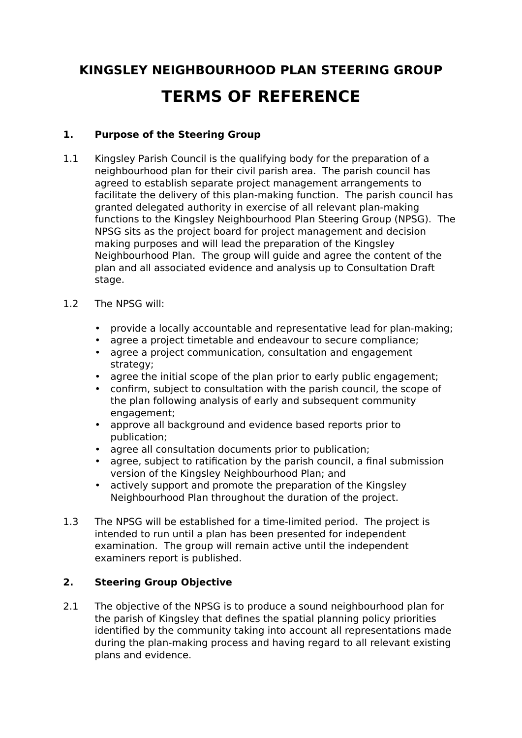# **KINGSLEY NEIGHBOURHOOD PLAN STEERING GROUP TERMS OF REFERENCE**

# **1. Purpose of the Steering Group**

1.1 Kingsley Parish Council is the qualifying body for the preparation of a neighbourhood plan for their civil parish area. The parish council has agreed to establish separate project management arrangements to facilitate the delivery of this plan-making function. The parish council has granted delegated authority in exercise of all relevant plan-making functions to the Kingsley Neighbourhood Plan Steering Group (NPSG). The NPSG sits as the project board for project management and decision making purposes and will lead the preparation of the Kingsley Neighbourhood Plan. The group will guide and agree the content of the plan and all associated evidence and analysis up to Consultation Draft stage.

## 1.2 The NPSG will:

- provide a locally accountable and representative lead for plan-making;
- agree a project timetable and endeavour to secure compliance;
- agree a project communication, consultation and engagement strategy;
- agree the initial scope of the plan prior to early public engagement;
- confirm, subject to consultation with the parish council, the scope of the plan following analysis of early and subsequent community engagement;
- approve all background and evidence based reports prior to publication;
- agree all consultation documents prior to publication;
- agree, subject to ratification by the parish council, a final submission version of the Kingsley Neighbourhood Plan; and
- actively support and promote the preparation of the Kingsley Neighbourhood Plan throughout the duration of the project.
- 1.3 The NPSG will be established for a time-limited period. The project is intended to run until a plan has been presented for independent examination. The group will remain active until the independent examiners report is published.

## **2. Steering Group Objective**

2.1 The objective of the NPSG is to produce a sound neighbourhood plan for the parish of Kingsley that defines the spatial planning policy priorities identified by the community taking into account all representations made during the plan-making process and having regard to all relevant existing plans and evidence.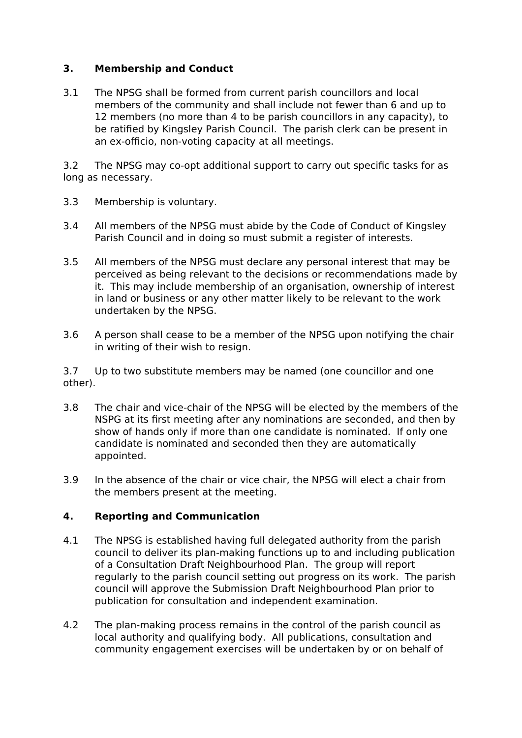## **3. Membership and Conduct**

3.1 The NPSG shall be formed from current parish councillors and local members of the community and shall include not fewer than 6 and up to 12 members (no more than 4 to be parish councillors in any capacity), to be ratified by Kingsley Parish Council. The parish clerk can be present in an ex-officio, non-voting capacity at all meetings.

3.2 The NPSG may co-opt additional support to carry out specific tasks for as long as necessary.

- 3.3 Membership is voluntary.
- 3.4 All members of the NPSG must abide by the Code of Conduct of Kingsley Parish Council and in doing so must submit a register of interests.
- 3.5 All members of the NPSG must declare any personal interest that may be perceived as being relevant to the decisions or recommendations made by it. This may include membership of an organisation, ownership of interest in land or business or any other matter likely to be relevant to the work undertaken by the NPSG.
- 3.6 A person shall cease to be a member of the NPSG upon notifying the chair in writing of their wish to resign.

3.7 Up to two substitute members may be named (one councillor and one other).

- 3.8 The chair and vice-chair of the NPSG will be elected by the members of the NSPG at its first meeting after any nominations are seconded, and then by show of hands only if more than one candidate is nominated. If only one candidate is nominated and seconded then they are automatically appointed.
- 3.9 In the absence of the chair or vice chair, the NPSG will elect a chair from the members present at the meeting.

## **4. Reporting and Communication**

- 4.1 The NPSG is established having full delegated authority from the parish council to deliver its plan-making functions up to and including publication of a Consultation Draft Neighbourhood Plan. The group will report regularly to the parish council setting out progress on its work. The parish council will approve the Submission Draft Neighbourhood Plan prior to publication for consultation and independent examination.
- 4.2 The plan-making process remains in the control of the parish council as local authority and qualifying body. All publications, consultation and community engagement exercises will be undertaken by or on behalf of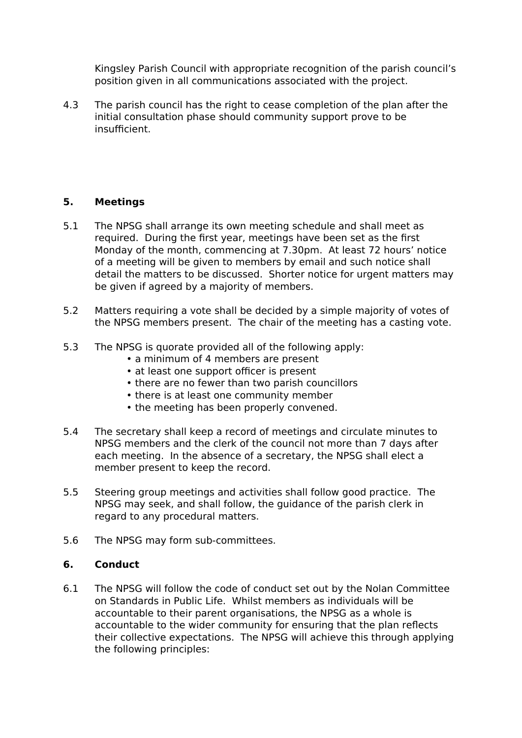Kingsley Parish Council with appropriate recognition of the parish council's position given in all communications associated with the project.

4.3 The parish council has the right to cease completion of the plan after the initial consultation phase should community support prove to be insufficient.

### **5. Meetings**

- 5.1 The NPSG shall arrange its own meeting schedule and shall meet as required. During the first year, meetings have been set as the first Monday of the month, commencing at 7.30pm. At least 72 hours' notice of a meeting will be given to members by email and such notice shall detail the matters to be discussed. Shorter notice for urgent matters may be given if agreed by a majority of members.
- 5.2 Matters requiring a vote shall be decided by a simple majority of votes of the NPSG members present. The chair of the meeting has a casting vote.
- 5.3 The NPSG is quorate provided all of the following apply:
	- a minimum of 4 members are present
	- at least one support officer is present
	- there are no fewer than two parish councillors
	- there is at least one community member
	- the meeting has been properly convened.
- 5.4 The secretary shall keep a record of meetings and circulate minutes to NPSG members and the clerk of the council not more than 7 days after each meeting. In the absence of a secretary, the NPSG shall elect a member present to keep the record.
- 5.5 Steering group meetings and activities shall follow good practice. The NPSG may seek, and shall follow, the guidance of the parish clerk in regard to any procedural matters.
- 5.6 The NPSG may form sub-committees.

### **6. Conduct**

6.1 The NPSG will follow the code of conduct set out by the Nolan Committee on Standards in Public Life. Whilst members as individuals will be accountable to their parent organisations, the NPSG as a whole is accountable to the wider community for ensuring that the plan refects their collective expectations. The NPSG will achieve this through applying the following principles: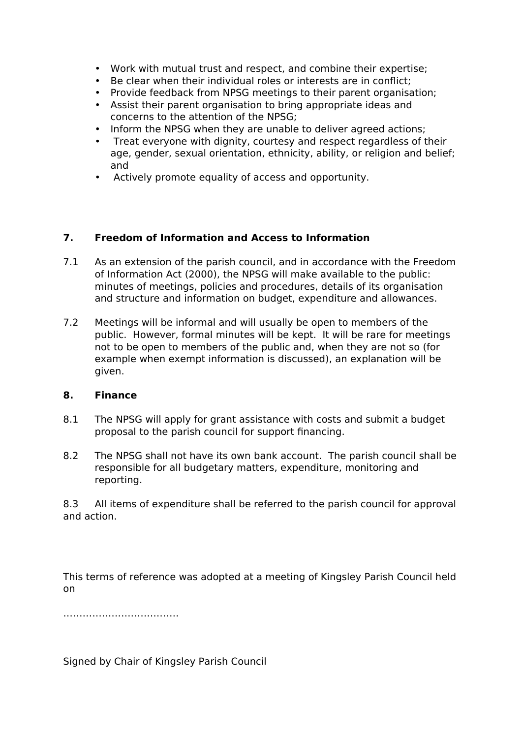- Work with mutual trust and respect, and combine their expertise;
- Be clear when their individual roles or interests are in confict;
- Provide feedback from NPSG meetings to their parent organisation;
- Assist their parent organisation to bring appropriate ideas and concerns to the attention of the NPSG;
- Inform the NPSG when they are unable to deliver agreed actions;
- Treat everyone with dignity, courtesy and respect regardless of their age, gender, sexual orientation, ethnicity, ability, or religion and belief; and
- Actively promote equality of access and opportunity.

### **7. Freedom of Information and Access to Information**

- 7.1 As an extension of the parish council, and in accordance with the Freedom of Information Act (2000), the NPSG will make available to the public: minutes of meetings, policies and procedures, details of its organisation and structure and information on budget, expenditure and allowances.
- 7.2 Meetings will be informal and will usually be open to members of the public. However, formal minutes will be kept. It will be rare for meetings not to be open to members of the public and, when they are not so (for example when exempt information is discussed), an explanation will be given.

### **8. Finance**

- 8.1 The NPSG will apply for grant assistance with costs and submit a budget proposal to the parish council for support financing.
- 8.2 The NPSG shall not have its own bank account. The parish council shall be responsible for all budgetary matters, expenditure, monitoring and reporting.

8.3 All items of expenditure shall be referred to the parish council for approval and action.

This terms of reference was adopted at a meeting of Kingsley Parish Council held on

………………………………

Signed by Chair of Kingsley Parish Council